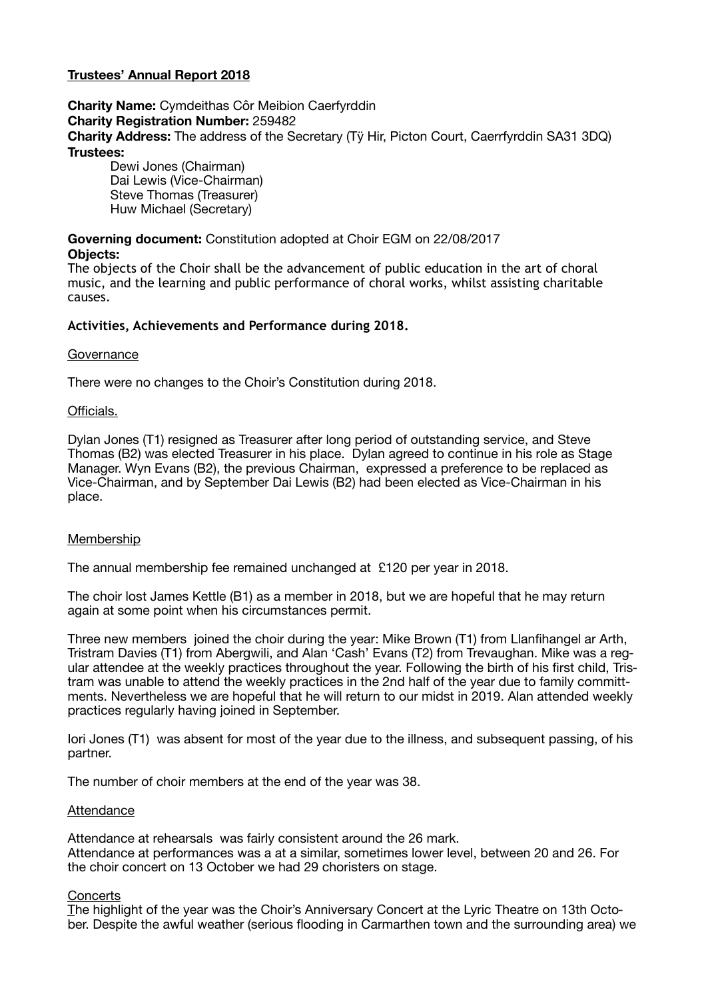# **Trustees' Annual Report 2018**

**Charity Name:** Cymdeithas Côr Meibion Caerfyrddin **Charity Registration Number:** 259482 **Charity Address:** The address of the Secretary (Tÿ Hir, Picton Court, Caerrfyrddin SA31 3DQ) **Trustees:** 

Dewi Jones (Chairman) Dai Lewis (Vice-Chairman) Steve Thomas (Treasurer) Huw Michael (Secretary)

# **Governing document:** Constitution adopted at Choir EGM on 22/08/2017

### **Objects:**

The objects of the Choir shall be the advancement of public education in the art of choral music, and the learning and public performance of choral works, whilst assisting charitable causes.

# **Activities, Achievements and Performance during 2018.**

#### **Governance**

There were no changes to the Choir's Constitution during 2018.

#### Officials.

Dylan Jones (T1) resigned as Treasurer after long period of outstanding service, and Steve Thomas (B2) was elected Treasurer in his place. Dylan agreed to continue in his role as Stage Manager. Wyn Evans (B2), the previous Chairman, expressed a preference to be replaced as Vice-Chairman, and by September Dai Lewis (B2) had been elected as Vice-Chairman in his place.

# Membership

The annual membership fee remained unchanged at £120 per year in 2018.

The choir lost James Kettle (B1) as a member in 2018, but we are hopeful that he may return again at some point when his circumstances permit.

Three new members joined the choir during the year: Mike Brown (T1) from Llanfihangel ar Arth, Tristram Davies (T1) from Abergwili, and Alan 'Cash' Evans (T2) from Trevaughan. Mike was a regular attendee at the weekly practices throughout the year. Following the birth of his first child, Tristram was unable to attend the weekly practices in the 2nd half of the year due to family committments. Nevertheless we are hopeful that he will return to our midst in 2019. Alan attended weekly practices regularly having joined in September.

Iori Jones (T1) was absent for most of the year due to the illness, and subsequent passing, of his partner.

The number of choir members at the end of the year was 38.

# **Attendance**

Attendance at rehearsals was fairly consistent around the 26 mark. Attendance at performances was a at a similar, sometimes lower level, between 20 and 26. For the choir concert on 13 October we had 29 choristers on stage.

#### **Concerts**

The highlight of the year was the Choir's Anniversary Concert at the Lyric Theatre on 13th October. Despite the awful weather (serious flooding in Carmarthen town and the surrounding area) we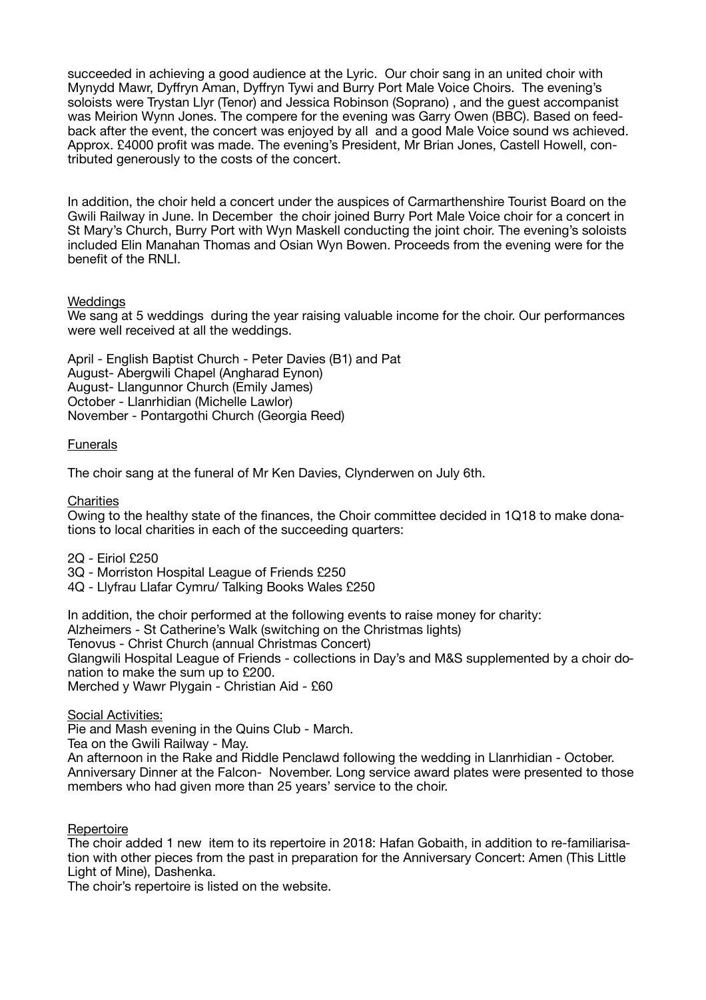succeeded in achieving a good audience at the Lyric. Our choir sang in an united choir with Mynydd Mawr, Dyffryn Aman, Dyffryn Tywi and Burry Port Male Voice Choirs. The evening's soloists were Trystan Llyr (Tenor) and Jessica Robinson (Soprano) , and the guest accompanist was Meirion Wynn Jones. The compere for the evening was Garry Owen (BBC). Based on feedback after the event, the concert was enjoyed by all and a good Male Voice sound ws achieved. Approx. £4000 profit was made. The evening's President, Mr Brian Jones, Castell Howell, contributed generously to the costs of the concert.

In addition, the choir held a concert under the auspices of Carmarthenshire Tourist Board on the Gwili Railway in June. In December the choir joined Burry Port Male Voice choir for a concert in St Mary's Church, Burry Port with Wyn Maskell conducting the joint choir. The evening's soloists included Elin Manahan Thomas and Osian Wyn Bowen. Proceeds from the evening were for the benefit of the RNLI.

### **Weddings**

We sang at 5 weddings during the year raising valuable income for the choir. Our performances were well received at all the weddings.

April - English Baptist Church - Peter Davies (B1) and Pat August- Abergwili Chapel (Angharad Eynon) August- Llangunnor Church (Emily James) October - Llanrhidian (Michelle Lawlor) November - Pontargothi Church (Georgia Reed)

# Funerals

The choir sang at the funeral of Mr Ken Davies, Clynderwen on July 6th.

**Charities** 

Owing to the healthy state of the finances, the Choir committee decided in 1Q18 to make donations to local charities in each of the succeeding quarters:

2Q - Eiriol £250

3Q - Morriston Hospital League of Friends £250

4Q - Llyfrau Llafar Cymru/ Talking Books Wales £250

In addition, the choir performed at the following events to raise money for charity: Alzheimers - St Catherine's Walk (switching on the Christmas lights) Tenovus - Christ Church (annual Christmas Concert) Glangwili Hospital League of Friends - collections in Day's and M&S supplemented by a choir donation to make the sum up to £200. Merched y Wawr Plygain - Christian Aid - £60

Social Activities:

Pie and Mash evening in the Quins Club - March. Tea on the Gwili Railway - May. An afternoon in the Rake and Riddle Penclawd following the wedding in Llanrhidian - October. Anniversary Dinner at the Falcon- November. Long service award plates were presented to those members who had given more than 25 years' service to the choir.

**Repertoire** 

The choir added 1 new item to its repertoire in 2018: Hafan Gobaith, in addition to re-familiarisation with other pieces from the past in preparation for the Anniversary Concert: Amen (This Little Light of Mine), Dashenka.

The choir's repertoire is listed on the website.